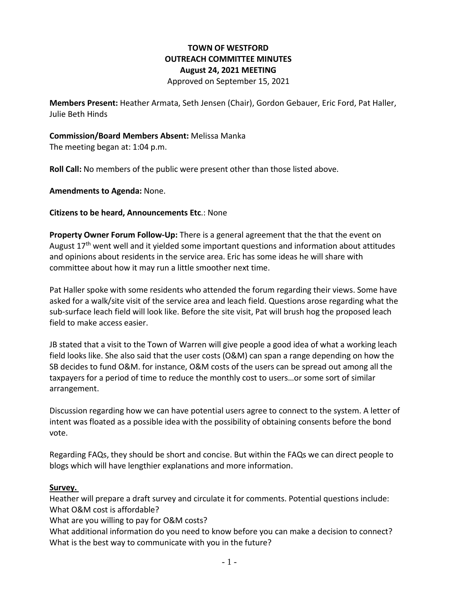# **TOWN OF WESTFORD OUTREACH COMMITTEE MINUTES August 24, 2021 MEETING** Approved on September 15, 2021

**Members Present:** Heather Armata, Seth Jensen (Chair), Gordon Gebauer, Eric Ford, Pat Haller, Julie Beth Hinds

# **Commission/Board Members Absent:** Melissa Manka

The meeting began at: 1:04 p.m.

**Roll Call:** No members of the public were present other than those listed above.

**Amendments to Agenda:** None.

#### **Citizens to be heard, Announcements Etc**.: None

**Property Owner Forum Follow-Up:** There is a general agreement that the that the event on August  $17<sup>th</sup>$  went well and it yielded some important questions and information about attitudes and opinions about residents in the service area. Eric has some ideas he will share with committee about how it may run a little smoother next time.

Pat Haller spoke with some residents who attended the forum regarding their views. Some have asked for a walk/site visit of the service area and leach field. Questions arose regarding what the sub-surface leach field will look like. Before the site visit, Pat will brush hog the proposed leach field to make access easier.

JB stated that a visit to the Town of Warren will give people a good idea of what a working leach field looks like. She also said that the user costs (O&M) can span a range depending on how the SB decides to fund O&M. for instance, O&M costs of the users can be spread out among all the taxpayers for a period of time to reduce the monthly cost to users…or some sort of similar arrangement.

Discussion regarding how we can have potential users agree to connect to the system. A letter of intent was floated as a possible idea with the possibility of obtaining consents before the bond vote.

Regarding FAQs, they should be short and concise. But within the FAQs we can direct people to blogs which will have lengthier explanations and more information.

#### **Survey.**

Heather will prepare a draft survey and circulate it for comments. Potential questions include: What O&M cost is affordable?

What are you willing to pay for O&M costs?

What additional information do you need to know before you can make a decision to connect? What is the best way to communicate with you in the future?